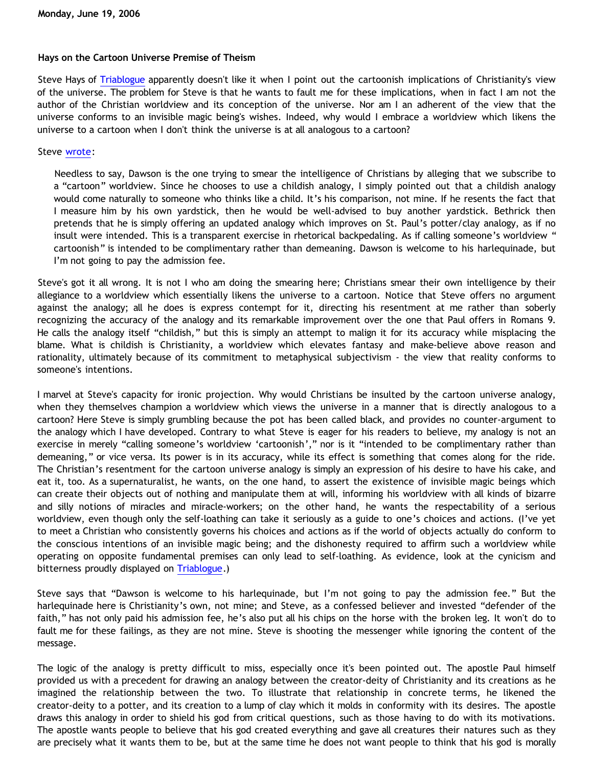## **Hays on the Cartoon Universe Premise of Theism**

Steve Hays of [Triablogue](http://triablogue.blogspot.com/) apparently doesn't like it when I point out the cartoonish implications of Christianity's view of the universe. The problem for Steve is that he wants to fault me for these implications, when in fact I am not the author of the Christian worldview and its conception of the universe. Nor am I an adherent of the view that the universe conforms to an invisible magic being's wishes. Indeed, why would I embrace a worldview which likens the universe to a cartoon when I don't think the universe is at all analogous to a cartoon?

## Steve [wrote:](http://triablogue.blogspot.com/2006/06/seeing-thru-bethrick-wall.html)

Needless to say, Dawson is the one trying to smear the intelligence of Christians by alleging that we subscribe to a "cartoon" worldview. Since he chooses to use a childish analogy, I simply pointed out that a childish analogy would come naturally to someone who thinks like a child. It's his comparison, not mine. If he resents the fact that I measure him by his own yardstick, then he would be well-advised to buy another yardstick. Bethrick then pretends that he is simply offering an updated analogy which improves on St. Paul's potter/clay analogy, as if no insult were intended. This is a transparent exercise in rhetorical backpedaling. As if calling someone's worldview " cartoonish" is intended to be complimentary rather than demeaning. Dawson is welcome to his harlequinade, but I'm not going to pay the admission fee.

Steve's got it all wrong. It is not I who am doing the smearing here; Christians smear their own intelligence by their allegiance to a worldview which essentially likens the universe to a cartoon. Notice that Steve offers no argument against the analogy; all he does is express contempt for it, directing his resentment at me rather than soberly recognizing the accuracy of the analogy and its remarkable improvement over the one that Paul offers in Romans 9. He calls the analogy itself "childish," but this is simply an attempt to malign it for its accuracy while misplacing the blame. What is childish is Christianity, a worldview which elevates fantasy and make-believe above reason and rationality, ultimately because of its commitment to metaphysical subjectivism - the view that reality conforms to someone's intentions.

I marvel at Steve's capacity for ironic projection. Why would Christians be insulted by the cartoon universe analogy, when they themselves champion a worldview which views the universe in a manner that is directly analogous to a cartoon? Here Steve is simply grumbling because the pot has been called black, and provides no counter-argument to the analogy which I have developed. Contrary to what Steve is eager for his readers to believe, my analogy is not an exercise in merely "calling someone's worldview 'cartoonish'," nor is it "intended to be complimentary rather than demeaning," or vice versa. Its power is in its accuracy, while its effect is something that comes along for the ride. The Christian's resentment for the cartoon universe analogy is simply an expression of his desire to have his cake, and eat it, too. As a supernaturalist, he wants, on the one hand, to assert the existence of invisible magic beings which can create their objects out of nothing and manipulate them at will, informing his worldview with all kinds of bizarre and silly notions of miracles and miracle-workers; on the other hand, he wants the respectability of a serious worldview, even though only the self-loathing can take it seriously as a guide to one's choices and actions. (I've yet to meet a Christian who consistently governs his choices and actions as if the world of objects actually do conform to the conscious intentions of an invisible magic being; and the dishonesty required to affirm such a worldview while operating on opposite fundamental premises can only lead to self-loathing. As evidence, look at the cynicism and bitterness proudly displayed on [Triablogue](http://triablogue.blogspot.com/).)

Steve says that "Dawson is welcome to his harlequinade, but I'm not going to pay the admission fee." But the harlequinade here is Christianity's own, not mine; and Steve, as a confessed believer and invested "defender of the faith," has not only paid his admission fee, he's also put all his chips on the horse with the broken leg. It won't do to fault me for these failings, as they are not mine. Steve is shooting the messenger while ignoring the content of the message.

The logic of the analogy is pretty difficult to miss, especially once it's been pointed out. The apostle Paul himself provided us with a precedent for drawing an analogy between the creator-deity of Christianity and its creations as he imagined the relationship between the two. To illustrate that relationship in concrete terms, he likened the creator-deity to a potter, and its creation to a lump of clay which it molds in conformity with its desires. The apostle draws this analogy in order to shield his god from critical questions, such as those having to do with its motivations. The apostle wants people to believe that his god created everything and gave all creatures their natures such as they are precisely what it wants them to be, but at the same time he does not want people to think that his god is morally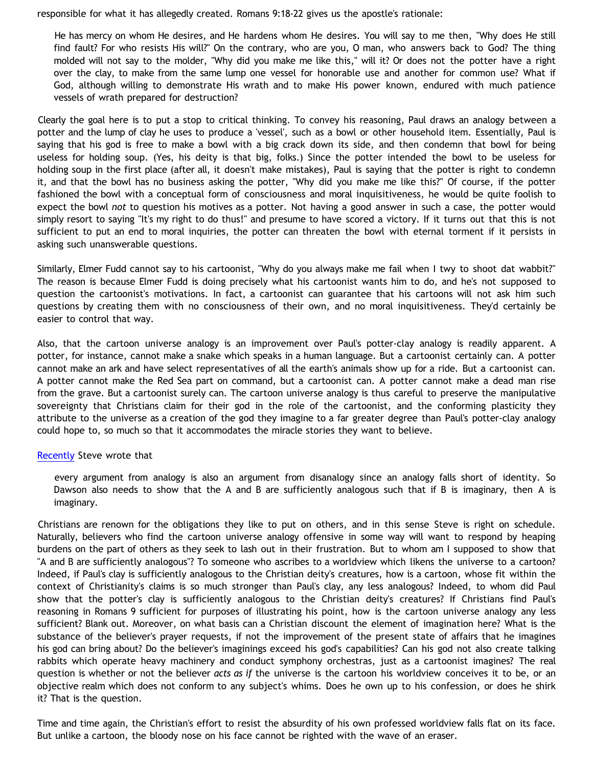responsible for what it has allegedly created. Romans 9:18-22 gives us the apostle's rationale:

He has mercy on whom He desires, and He hardens whom He desires. You will say to me then, "Why does He still find fault? For who resists His will?" On the contrary, who are you, O man, who answers back to God? The thing molded will not say to the molder, "Why did you make me like this," will it? Or does not the potter have a right over the clay, to make from the same lump one vessel for honorable use and another for common use? What if God, although willing to demonstrate His wrath and to make His power known, endured with much patience vessels of wrath prepared for destruction?

Clearly the goal here is to put a stop to critical thinking. To convey his reasoning, Paul draws an analogy between a potter and the lump of clay he uses to produce a 'vessel', such as a bowl or other household item. Essentially, Paul is saying that his god is free to make a bowl with a big crack down its side, and then condemn that bowl for being useless for holding soup. (Yes, his deity is that big, folks.) Since the potter intended the bowl to be useless for holding soup in the first place (after all, it doesn't make mistakes), Paul is saying that the potter is right to condemn it, and that the bowl has no business asking the potter, "Why did you make me like this?" Of course, if the potter fashioned the bowl with a conceptual form of consciousness and moral inquisitiveness, he would be quite foolish to expect the bowl *not* to question his motives as a potter. Not having a good answer in such a case, the potter would simply resort to saying "It's my right to do thus!" and presume to have scored a victory. If it turns out that this is not sufficient to put an end to moral inquiries, the potter can threaten the bowl with eternal torment if it persists in asking such unanswerable questions.

Similarly, Elmer Fudd cannot say to his cartoonist, "Why do you always make me fail when I twy to shoot dat wabbit?" The reason is because Elmer Fudd is doing precisely what his cartoonist wants him to do, and he's not supposed to question the cartoonist's motivations. In fact, a cartoonist can guarantee that his cartoons will not ask him such questions by creating them with no consciousness of their own, and no moral inquisitiveness. They'd certainly be easier to control that way.

Also, that the cartoon universe analogy is an improvement over Paul's potter-clay analogy is readily apparent. A potter, for instance, cannot make a snake which speaks in a human language. But a cartoonist certainly can. A potter cannot make an ark and have select representatives of all the earth's animals show up for a ride. But a cartoonist can. A potter cannot make the Red Sea part on command, but a cartoonist can. A potter cannot make a dead man rise from the grave. But a cartoonist surely can. The cartoon universe analogy is thus careful to preserve the manipulative sovereignty that Christians claim for their god in the role of the cartoonist, and the conforming plasticity they attribute to the universe as a creation of the god they imagine to a far greater degree than Paul's potter-clay analogy could hope to, so much so that it accommodates the miracle stories they want to believe.

## [Recently](http://triablogue.blogspot.com/2006/06/incinerating-bethrick.html) Steve wrote that

every argument from analogy is also an argument from disanalogy since an analogy falls short of identity. So Dawson also needs to show that the A and B are sufficiently analogous such that if B is imaginary, then A is imaginary.

Christians are renown for the obligations they like to put on others, and in this sense Steve is right on schedule. Naturally, believers who find the cartoon universe analogy offensive in some way will want to respond by heaping burdens on the part of others as they seek to lash out in their frustration. But to whom am I supposed to show that "A and B are sufficiently analogous"? To someone who ascribes to a worldview which likens the universe to a cartoon? Indeed, if Paul's clay is sufficiently analogous to the Christian deity's creatures, how is a cartoon, whose fit within the context of Christianity's claims is so much stronger than Paul's clay, any less analogous? Indeed, to whom did Paul show that the potter's clay is sufficiently analogous to the Christian deity's creatures? If Christians find Paul's reasoning in Romans 9 sufficient for purposes of illustrating his point, how is the cartoon universe analogy any less sufficient? Blank out. Moreover, on what basis can a Christian discount the element of imagination here? What is the substance of the believer's prayer requests, if not the improvement of the present state of affairs that he imagines his god can bring about? Do the believer's imaginings exceed his god's capabilities? Can his god not also create talking rabbits which operate heavy machinery and conduct symphony orchestras, just as a cartoonist imagines? The real question is whether or not the believer *acts as if* the universe is the cartoon his worldview conceives it to be, or an objective realm which does not conform to any subject's whims. Does he own up to his confession, or does he shirk it? That is the question.

Time and time again, the Christian's effort to resist the absurdity of his own professed worldview falls flat on its face. But unlike a cartoon, the bloody nose on his face cannot be righted with the wave of an eraser.